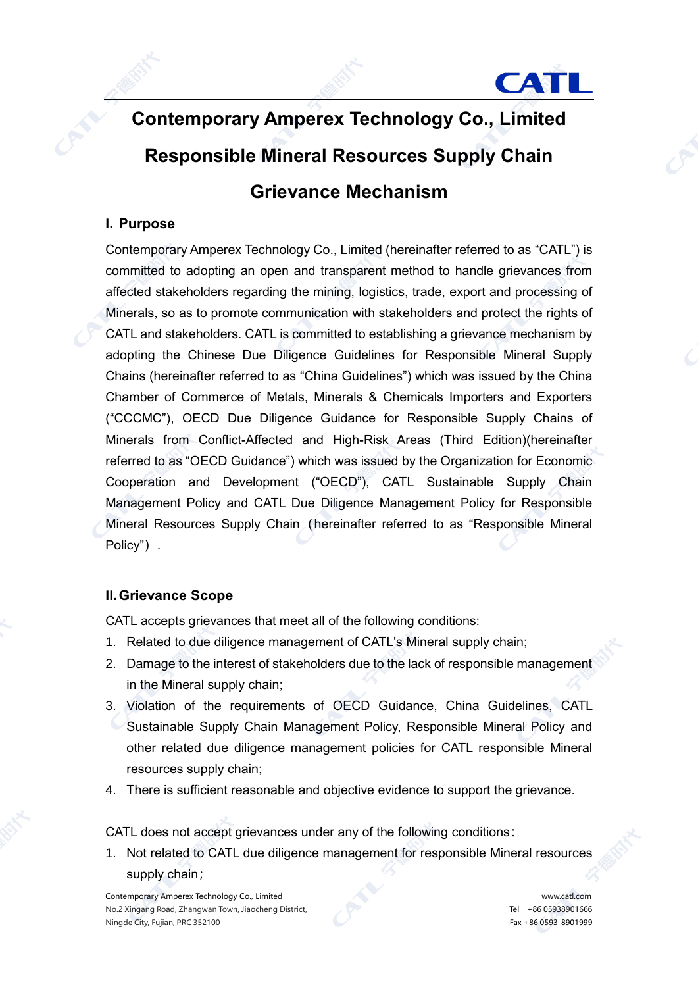

# **Contemporary Amperex Technology Co., Limited Responsible Mineral Resources Supply Chain Grievance Mechanism**

# **I. Purpose**

Contemporary Amperex Technology Co., Limited (hereinafter referred to as "CATL") is committed to adopting an open and transparent method to handle grievances from affected stakeholders regarding the mining, logistics, trade, export and processing of Minerals, so as to promote communication with stakeholders and protect the rights of CATL and stakeholders. CATL is committed to establishing a grievance mechanism by adopting the Chinese Due Diligence Guidelines for Responsible Mineral Supply Chains (hereinafter referred to as "China Guidelines") which was issued by the China Chamber of Commerce of Metals, Minerals & Chemicals Importers and Exporters ("CCCMC"), OECD Due Diligence Guidance for Responsible Supply Chains of Minerals from Conflict-Affected and High-Risk Areas (Third Edition)(hereinafter referred to as "OECD Guidance") which was issued by the Organization for Economic Cooperation and Development ("OECD"), CATL Sustainable Supply Chain Management Policy and CATL Due Diligence Management Policy for Responsible Mineral Resources Supply Chain (hereinafter referred to as "Responsible Mineral Policy").

### **II.Grievance Scope**

CATL accepts grievances that meet all of the following conditions:

- 1. Related to due diligence management of CATL's Mineral supply chain;
- 2. Damage to the interest of stakeholders due to the lack of responsible management in the Mineral supply chain;
- 3. Violation of the requirements of OECD Guidance, China Guidelines, CATL Sustainable Supply Chain Management Policy, Responsible Mineral Policy and other related due diligence management policies for CATL responsible Mineral resources supply chain;
- 4. There is sufficient reasonable and objective evidence to support the grievance.

CATL does not accept grievances under any of the following conditions:

1. Not related to CATL due diligence management for responsible Mineral resources supply chain;

Contemporary Amperex Technology Co., Limited www.catl.com No.2 Xingang Road, Zhangwan Town, Jiaocheng District, No.2 2008 12:00 12:00 12:00 12:00 12:00 12:00 12:00 12:0 Ningde City, Fujian, PRC 352100 Fax +86 0593-8901999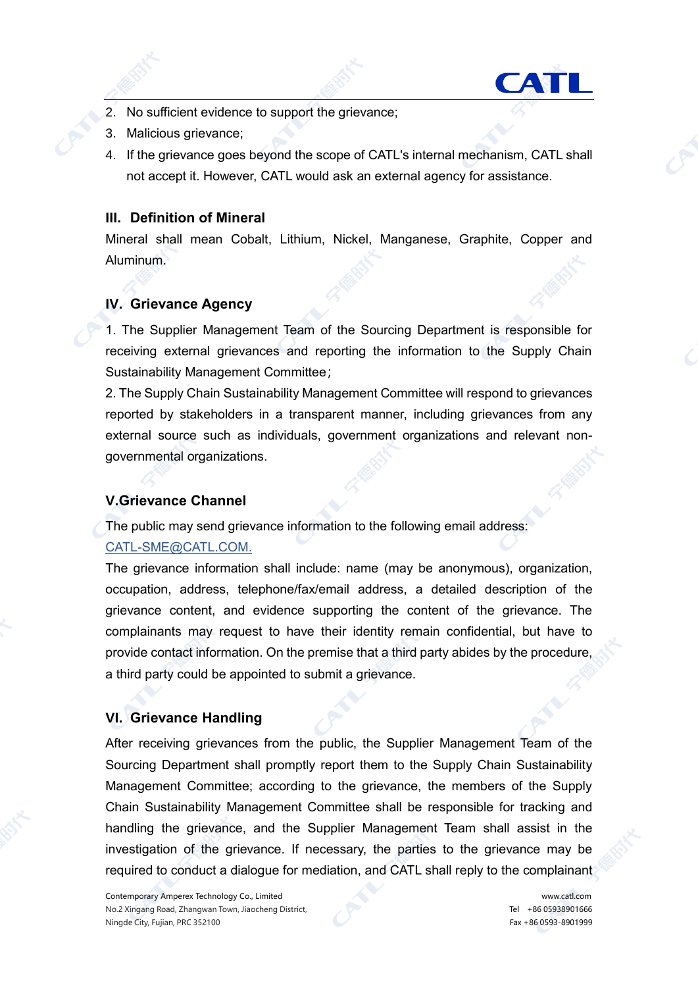

- 2. No sufficient evidence to support the grievance;
- 3. Malicious grievance;
- 4. If the grievance goes beyond the scope of CATL's internal mechanism, CATL shall not accept it. However, CATL would ask an external agency for assistance.

#### **III. Definition of Mineral**

Mineral shall mean Cobalt, Lithium, Nickel, Manganese, Graphite, Copper and Aluminum.

## **IV. Grievance Agency**

1. The Supplier Management Team of the Sourcing Department is responsible for receiving external grievances and reporting the information to the Supply Chain Sustainability Management Committee;

2. The Supply Chain Sustainability Management Committee will respond to grievances reported by stakeholders in a transparent manner, including grievances from any external source such as individuals, government organizations and relevant nongovernmental organizations.

### **V.Grievance Channel**

The public may send grievance information to the following email address:

### [CATL-SME@CATL.COM.](mailto:CATL-SME@CATLBATTERY.COM)

The grievance information shall include: name (may be anonymous), organization, occupation, address, telephone/fax/email address, a detailed description of the grievance content, and evidence supporting the content of the grievance. The complainants may request to have their identity remain confidential, but have to provide contact information. On the premise that a third party abides by the procedure, a third party could be appointed to submit a grievance.

### **VI. Grievance Handling**

After receiving grievances from the public, the Supplier Management Team of the Sourcing Department shall promptly report them to the Supply Chain Sustainability Management Committee; according to the grievance, the members of the Supply Chain Sustainability Management Committee shall be responsible for tracking and handling the grievance, and the Supplier Management Team shall assist in the investigation of the grievance. If necessary, the parties to the grievance may be required to conduct a dialogue for mediation, and CATL shall reply to the complainant